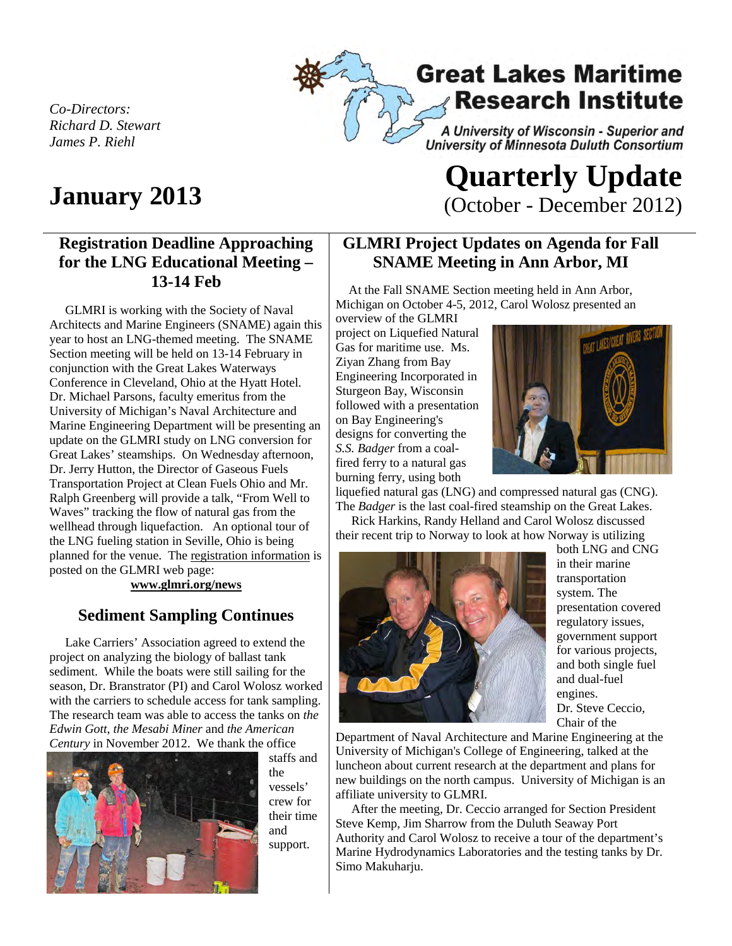**Great Lakes Maritime Research Institute** A University of Wisconsin - Superior and **University of Minnesota Duluth Consortium** 

*Co-Directors: Richard D. Stewart James P. Riehl*

### **Registration Deadline Approaching for the LNG Educational Meeting – 13-14 Feb**

 GLMRI is working with the Society of Naval Architects and Marine Engineers (SNAME) again this year to host an LNG-themed meeting. The SNAME Section meeting will be held on 13-14 February in conjunction with the Great Lakes Waterways Conference in Cleveland, Ohio at the Hyatt Hotel. Dr. Michael Parsons, faculty emeritus from the University of Michigan's Naval Architecture and Marine Engineering Department will be presenting an update on the GLMRI study on LNG conversion for Great Lakes' steamships. On Wednesday afternoon, Dr. Jerry Hutton, the Director of Gaseous Fuels Transportation Project at Clean Fuels Ohio and Mr. Ralph Greenberg will provide a talk, "From Well to Waves" tracking the flow of natural gas from the wellhead through liquefaction. An optional tour of the LNG fueling station in Seville, Ohio is being planned for the venue. The registration information is posted on the GLMRI web page:

**www.glmri.org/news** 

#### **Sediment Sampling Continues**

 Lake Carriers' Association agreed to extend the project on analyzing the biology of ballast tank sediment. While the boats were still sailing for the season, Dr. Branstrator (PI) and Carol Wolosz worked with the carriers to schedule access for tank sampling. The research team was able to access the tanks on *the Edwin Gott*, *the Mesabi Miner* and *the American Century* in November 2012. We thank the office



staffs and the vessels' crew for their time and support.

# **January 2013 Quarterly Update Quarterly Update** (October - December 2012)

#### **GLMRI Project Updates on Agenda for Fall SNAME Meeting in Ann Arbor, MI**

 At the Fall SNAME Section meeting held in Ann Arbor, Michigan on October 4-5, 2012, Carol Wolosz presented an

overview of the GLMRI project on Liquefied Natural Gas for maritime use. Ms. Ziyan Zhang from Bay Engineering Incorporated in Sturgeon Bay, Wisconsin followed with a presentation on Bay Engineering's designs for converting the *S.S. Badger* from a coalfired ferry to a natural gas burning ferry, using both



liquefied natural gas (LNG) and compressed natural gas (CNG). The *Badger* is the last coal-fired steamship on the Great Lakes.

 Rick Harkins, Randy Helland and Carol Wolosz discussed their recent trip to Norway to look at how Norway is utilizing



both LNG and CNG in their marine transportation system. The presentation covered regulatory issues, government support for various projects, and both single fuel and dual-fuel engines. Dr. Steve Ceccio, Chair of the

Department of Naval Architecture and Marine Engineering at the University of Michigan's College of Engineering, talked at the luncheon about current research at the department and plans for new buildings on the north campus. University of Michigan is an affiliate university to GLMRI.

 After the meeting, Dr. Ceccio arranged for Section President Steve Kemp, Jim Sharrow from the Duluth Seaway Port Authority and Carol Wolosz to receive a tour of the department's Marine Hydrodynamics Laboratories and the testing tanks by Dr. Simo Makuharju.